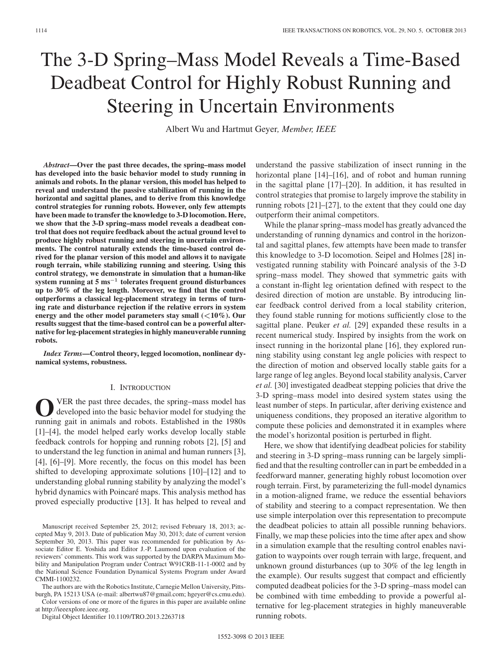# The 3-D Spring–Mass Model Reveals a Time-Based Deadbeat Control for Highly Robust Running and Steering in Uncertain Environments

Albert Wu and Hartmut Geyer*, Member, IEEE*

*Abstract***—Over the past three decades, the spring–mass model has developed into the basic behavior model to study running in animals and robots. In the planar version, this model has helped to reveal and understand the passive stabilization of running in the horizontal and sagittal planes, and to derive from this knowledge control strategies for running robots. However, only few attempts have been made to transfer the knowledge to 3-D locomotion. Here, we show that the 3-D spring–mass model reveals a deadbeat control that does not require feedback about the actual ground level to produce highly robust running and steering in uncertain environments. The control naturally extends the time-based control derived for the planar version of this model and allows it to navigate rough terrain, while stabilizing running and steering. Using this control strategy, we demonstrate in simulation that a human-like system running at 5 ms***<sup>−</sup>***<sup>1</sup> tolerates frequent ground disturbances up to 30% of the leg length. Moreover, we find that the control outperforms a classical leg-placement strategy in terms of turning rate and disturbance rejection if the relative errors in system energy and the other model parameters stay small (***<***10%). Our results suggest that the time-based control can be a powerful alternative for leg-placement strategies in highly maneuverable running robots.**

*Index Terms***—Control theory, legged locomotion, nonlinear dynamical systems, robustness.**

# I. INTRODUCTION

VER the past three decades, the spring–mass model has developed into the basic behavior model for studying the running gait in animals and robots. Established in the 1980s [1]–[4], the model helped early works develop locally stable feedback controls for hopping and running robots [2], [5] and to understand the leg function in animal and human runners [3], [4], [6]–[9]. More recently, the focus on this model has been shifted to developing approximate solutions [10]–[12] and to understanding global running stability by analyzing the model's hybrid dynamics with Poincaré maps. This analysis method has proved especially productive [13]. It has helped to reveal and

The authors are with the Robotics Institute, Carnegie Mellon University, Pittsburgh, PA 15213 USA (e-mail: albertwu87@gmail.com; hgeyer@cs.cmu.edu).

Color versions of one or more of the figures in this paper are available online at http://ieeexplore.ieee.org.

Digital Object Identifier 10.1109/TRO.2013.2263718

understand the passive stabilization of insect running in the horizontal plane [14]–[16], and of robot and human running in the sagittal plane [17]–[20]. In addition, it has resulted in control strategies that promise to largely improve the stability in running robots [21]–[27], to the extent that they could one day outperform their animal competitors.

While the planar spring–mass model has greatly advanced the understanding of running dynamics and control in the horizontal and sagittal planes, few attempts have been made to transfer this knowledge to 3-D locomotion. Seipel and Holmes [28] investigated running stability with Poincaré analysis of the 3-D spring–mass model. They showed that symmetric gaits with a constant in-flight leg orientation defined with respect to the desired direction of motion are unstable. By introducing linear feedback control derived from a local stability criterion, they found stable running for motions sufficiently close to the sagittal plane. Peuker *et al.* [29] expanded these results in a recent numerical study. Inspired by insights from the work on insect running in the horizontal plane [16], they explored running stability using constant leg angle policies with respect to the direction of motion and observed locally stable gaits for a large range of leg angles. Beyond local stability analysis, Carver *et al.* [30] investigated deadbeat stepping policies that drive the 3-D spring–mass model into desired system states using the least number of steps. In particular, after deriving existence and uniqueness conditions, they proposed an iterative algorithm to compute these policies and demonstrated it in examples where the model's horizontal position is perturbed in flight.

Here, we show that identifying deadbeat policies for stability and steering in 3-D spring–mass running can be largely simplified and that the resulting controller can in part be embedded in a feedforward manner, generating highly robust locomotion over rough terrain. First, by parameterizing the full-model dynamics in a motion-aligned frame, we reduce the essential behaviors of stability and steering to a compact representation. We then use simple interpolation over this representation to precompute the deadbeat policies to attain all possible running behaviors. Finally, we map these policies into the time after apex and show in a simulation example that the resulting control enables navigation to waypoints over rough terrain with large, frequent, and unknown ground disturbances (up to 30% of the leg length in the example). Our results suggest that compact and efficiently computed deadbeat policies for the 3-D spring–mass model can be combined with time embedding to provide a powerful alternative for leg-placement strategies in highly maneuverable running robots.

Manuscript received September 25, 2012; revised February 18, 2013; accepted May 9, 2013. Date of publication May 30, 2013; date of current version September 30, 2013. This paper was recommended for publication by Associate Editor E. Yoshida and Editor J.-P. Laumond upon evaluation of the reviewers' comments. This work was supported by the DARPA Maximum Mobility and Manipulation Program under Contract W91CRB-11-1-0002 and by the National Science Foundation Dynamical Systems Program under Award CMMI-1100232.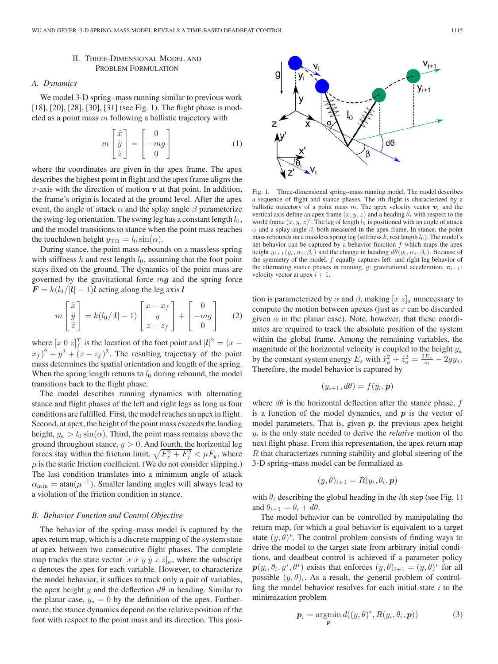# II. THREE-DIMENSIONAL MODEL AND PROBLEM FORMULATION

#### *A. Dynamics*

We model 3-D spring–mass running similar to previous work [18], [20], [28], [30], [31] (see Fig. 1). The flight phase is modeled as a point mass  $m$  following a ballistic trajectory with

$$
m\begin{bmatrix} \ddot{x} \\ \ddot{y} \\ \ddot{z} \end{bmatrix} = \begin{bmatrix} 0 \\ -mg \\ 0 \end{bmatrix}
$$
 (1)

where the coordinates are given in the apex frame. The apex describes the highest point in flight and the apex frame aligns the  $x$ -axis with the direction of motion  $v$  at that point. In addition, the frame's origin is located at the ground level. After the apex event, the angle of attack  $\alpha$  and the splay angle  $\beta$  parameterize the swing-leg orientation. The swing leg has a constant length  $l_0$ , and the model transitions to stance when the point mass reaches the touchdown height  $y_{\text{TD}} = l_0 \sin(\alpha)$ .

During stance, the point mass rebounds on a massless spring with stiffness  $k$  and rest length  $l_0$ , assuming that the foot point stays fixed on the ground. The dynamics of the point mass are governed by the gravitational force m*g* and the spring force  $\mathbf{F} = k(l_0/|\mathbf{l}| - 1)\mathbf{l}$  acting along the leg axis  $\mathbf{l}$ 

$$
m\begin{bmatrix} \ddot{x} \\ \ddot{y} \\ \ddot{z} \end{bmatrix} = k(l_0/|l|-1) \begin{bmatrix} x - x_f \\ y \\ z - z_f \end{bmatrix} + \begin{bmatrix} 0 \\ -mg \\ 0 \end{bmatrix}
$$
 (2)

where  $[x \ 0 \ z]_f^T$  is the location of the foot point and  $|l|^2 = (x - )$  $(x_f)^2 + y^2 + (z - z_f)^2$ . The resulting trajectory of the point mass determines the spatial orientation and length of the spring. When the spring length returns to  $l_0$  during rebound, the model transitions back to the flight phase.

The model describes running dynamics with alternating stance and flight phases of the left and right legs as long as four conditions are fulfilled. First, the model reaches an apex in flight. Second, at apex, the height of the point mass exceeds the landing height,  $y_a > l_0 \sin(\alpha)$ . Third, the point mass remains above the ground throughout stance,  $y > 0$ . And fourth, the horizontal leg forces stay within the friction limit,  $\sqrt{F_x^2 + F_z^2} < \mu F_y$ , where  $\mu$  is the static friction coefficient. (We do not consider slipping.) The last condition translates into a minimum angle of attack  $\alpha_{\min} = \tan(\mu^{-1})$ . Smaller landing angles will always lead to a violation of the friction condition in stance.

## *B. Behavior Function and Control Objective*

The behavior of the spring–mass model is captured by the apex return map, which is a discrete mapping of the system state at apex between two consecutive flight phases. The complete map tracks the state vector  $[x \dot{x} y \dot{y} z \dot{z}]_a$ , where the subscript a denotes the apex for each variable. However, to characterize the model behavior, it suffices to track only a pair of variables, the apex height y and the deflection  $d\theta$  in heading. Similar to the planar case,  $\dot{y}_a = 0$  by the definition of the apex. Furthermore, the stance dynamics depend on the relative position of the foot with respect to the point mass and its direction. This posi-



Fig. 1. Three-dimensional spring–mass running model. The model describes a sequence of flight and stance phases. The ith flight is characterized by a ballistic trajectory of a point mass  $m$ . The apex velocity vector  $v_i$  and the vertical axis define an apex frame  $(x, y, z)$  and a heading  $\theta_i$  with respect to the world frame  $(x, y, z)'$ . The leg of length  $l_0$  is positioned with an angle of attack α and a splay angle β, both measured in the apex frame. In stance, the point mass rebounds on a massless spring leg (stiffness  $k$ , rest length  $l_0$ ). The model's net behavior can be captured by a behavior function  $f$  which maps the apex height  $y_{i+1} (y_i, \alpha_i, \beta_i)$  and the change in heading  $d\theta(y_i, \alpha_i, \beta_i)$ . Because of the symmetry of the model,  $f$  equally captures left- and right-leg behavior of the alternating stance phases in running. g: gravitational acceleration,  $v_{i+1}$ : velocity vector at apex  $i + 1$ .

tion is parameterized by  $\alpha$  and  $\beta$ , making  $[x \, z]_a$  unnecessary to compute the motion between apexes (just as  $x$  can be discarded given  $\alpha$  in the planar case). Note, however, that these coordinates are required to track the absolute position of the system within the global frame. Among the remaining variables, the magnitude of the horizontal velocity is coupled to the height  $y_a$ by the constant system energy  $E_s$  with  $\dot{x}_a^2 + \dot{z}_a^2 = \frac{2E_s}{m} - 2gy_a$ . Therefore, the model behavior is captured by

$$
(y_{i+1}, d\theta) = f(y_i, \mathbf{p})
$$

where  $d\theta$  is the horizontal deflection after the stance phase, f is a function of the model dynamics, and *p* is the vector of model parameters. That is, given *p*, the previous apex height yi is the only state needed to derive the *relative* motion of the next flight phase. From this representation, the apex return map R that characterizes running stability and global steering of the 3-D spring–mass model can be formalized as

$$
(y,\theta)_{i+1}=R(y_i,\theta_i,\boldsymbol{p})
$$

with  $\theta_i$  describing the global heading in the *i*th step (see Fig. 1) and  $\theta_{i+1} = \theta_i + d\theta$ .

The model behavior can be controlled by manipulating the return map, for which a goal behavior is equivalent to a target state  $(y, \theta)^*$ . The control problem consists of finding ways to drive the model to the target state from arbitrary initial conditions, and deadbeat control is achieved if a parameter policy  $p(y_i, \theta_i, y^*, \theta^*)$  exists that enforces  $(y, \theta)_{i+1} = (y, \theta)^*$  for all possible  $(y, \theta)_i$ . As a result, the general problem of controlling the model behavior resolves for each initial state  $i$  to the minimization problem

$$
\boldsymbol{p}_i = \operatorname*{argmin}_{\boldsymbol{p}} d((y, \theta)^*, R(y_i, \theta_i, \boldsymbol{p})) \tag{3}
$$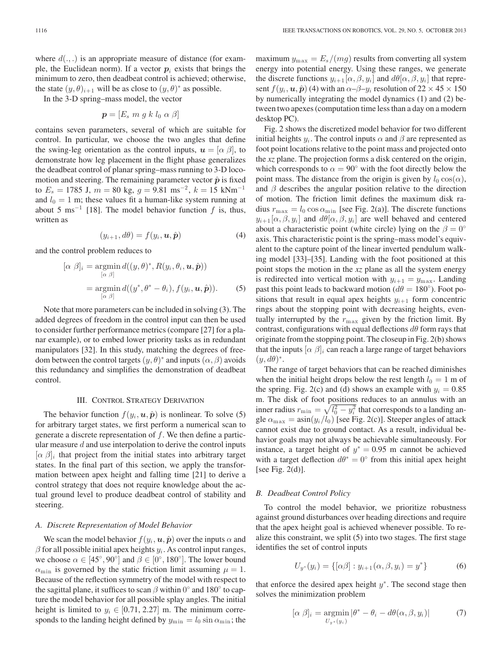where  $d(.,.)$  is an appropriate measure of distance (for example, the Euclidean norm). If a vector  $p_i$  exists that brings the minimum to zero, then deadbeat control is achieved; otherwise, the state  $(y, \theta)_{i+1}$  will be as close to  $(y, \theta)^*$  as possible.

In the 3-D spring–mass model, the vector

$$
\boldsymbol{p} = [E_s \; m \; g \; k \; l_0 \; \alpha \; \beta]
$$

contains seven parameters, several of which are suitable for control. In particular, we choose the two angles that define the swing-leg orientation as the control inputs,  $u = [\alpha \beta]$ , to demonstrate how leg placement in the flight phase generalizes the deadbeat control of planar spring–mass running to 3-D locomotion and steering. The remaining parameter vector  $\hat{p}$  is fixed to  $E_s = 1785$  J,  $m = 80$  kg,  $g = 9.81$  ms<sup>-2</sup>,  $k = 15$  kNm<sup>-1</sup> and  $l_0 = 1$  m; these values fit a human-like system running at about 5 ms<sup>-1</sup> [18]. The model behavior function f is, thus, written as

$$
(y_{i+1}, d\theta) = f(y_i, \mathbf{u}, \hat{\mathbf{p}})
$$
 (4)

and the control problem reduces to

$$
[\alpha \ \beta]_i = \underset{\alpha \ \beta]}{\operatorname{argmin}} d((y, \theta)^*, R(y_i, \theta_i, \mathbf{u}, \hat{\mathbf{p}}))
$$

$$
= \underset{\alpha \ \beta]}{\operatorname{argmin}} d((y^*, \theta^* - \theta_i), f(y_i, \mathbf{u}, \hat{\mathbf{p}})).
$$
(5)

Note that more parameters can be included in solving (3). The added degrees of freedom in the control input can then be used to consider further performance metrics (compare [27] for a planar example), or to embed lower priority tasks as in redundant manipulators [32]. In this study, matching the degrees of freedom between the control targets  $(y, \theta)^*$  and inputs  $(\alpha, \beta)$  avoids this redundancy and simplifies the demonstration of deadbeat control.

## III. CONTROL STRATEGY DERIVATION

The behavior function  $f(y_i, \mathbf{u}, \hat{\mathbf{p}})$  is nonlinear. To solve (5) for arbitrary target states, we first perform a numerical scan to generate a discrete representation of  $f$ . We then define a particular measure  $d$  and use interpolation to derive the control inputs  $[\alpha \beta]_i$  that project from the initial states into arbitrary target states. In the final part of this section, we apply the transformation between apex height and falling time [21] to derive a control strategy that does not require knowledge about the actual ground level to produce deadbeat control of stability and steering.

#### *A. Discrete Representation of Model Behavior*

We scan the model behavior  $f(y_i, \boldsymbol{u}, \hat{\boldsymbol{p}})$  over the inputs  $\alpha$  and  $\beta$  for all possible initial apex heights  $y_i$ . As control input ranges, we choose  $\alpha \in [45^{\circ}, 90^{\circ}]$  and  $\beta \in [0^{\circ}, 180^{\circ}]$ . The lower bound  $\alpha_{\min}$  is governed by the static friction limit assuming  $\mu = 1$ . Because of the reflection symmetry of the model with respect to the sagittal plane, it suffices to scan  $\beta$  within 0° and 180° to capture the model behavior for all possible splay angles. The initial height is limited to  $y_i \in [0.71, 2.27]$  m. The minimum corresponds to the landing height defined by  $y_{\text{min}} = l_0 \sin \alpha_{\text{min}}$ ; the maximum  $y_{\text{max}} = E_s/(mg)$  results from converting all system energy into potential energy. Using these ranges, we generate the discrete functions  $y_{i+1}[\alpha, \beta, y_i]$  and  $d\theta[\alpha, \beta, y_i]$  that represent  $f(y_i, \mathbf{u}, \hat{\mathbf{p}})$  (4) with an  $\alpha$ - $\beta$ - $y_i$  resolution of 22  $\times$  45  $\times$  150 by numerically integrating the model dynamics (1) and (2) between two apexes (computation time less than a day on a modern desktop PC).

Fig. 2 shows the discretized model behavior for two different initial heights  $y_i$ . The control inputs  $\alpha$  and  $\beta$  are represented as foot point locations relative to the point mass and projected onto the *xz* plane. The projection forms a disk centered on the origin, which corresponds to  $\alpha = 90^\circ$  with the foot directly below the point mass. The distance from the origin is given by  $l_0 \cos(\alpha)$ , and  $\beta$  describes the angular position relative to the direction of motion. The friction limit defines the maximum disk radius  $r_{\text{max}} = l_0 \cos \alpha_{\text{min}}$  [see Fig. 2(a)]. The discrete functions  $y_{i+1}[\alpha,\beta,y_i]$  and  $d\theta[\alpha,\beta,y_i]$  are well behaved and centered about a characteristic point (white circle) lying on the  $\beta = 0^\circ$ axis. This characteristic point is the spring–mass model's equivalent to the capture point of the linear inverted pendulum walking model [33]–[35]. Landing with the foot positioned at this point stops the motion in the *xz* plane as all the system energy is redirected into vertical motion with  $y_{i+1} = y_{\text{max}}$ . Landing past this point leads to backward motion ( $d\theta = 180^\circ$ ). Foot positions that result in equal apex heights  $y_{i+1}$  form concentric rings about the stopping point with decreasing heights, eventually interrupted by the  $r_{\text{max}}$  given by the friction limit. By contrast, configurations with equal deflections  $d\theta$  form rays that originate from the stopping point. The closeup in Fig. 2(b) shows that the inputs  $[\alpha \beta]_i$  can reach a large range of target behaviors  $(y, d\theta)^*$ .

The range of target behaviors that can be reached diminishes when the initial height drops below the rest length  $l_0 = 1$  m of the spring. Fig. 2(c) and (d) shows an example with  $y_i = 0.85$ m. The disk of foot positions reduces to an annulus with an inner radius  $r_{\min} = \sqrt{l_0^2 - y_i^2}$  that corresponds to a landing angle  $\alpha_{\text{max}} = \frac{\text{asin}(y_i/l_0)}{\text{[see Fig. 2(c)]}}$ . Steeper angles of attack cannot exist due to ground contact. As a result, individual behavior goals may not always be achievable simultaneously. For instance, a target height of  $y^* = 0.95$  m cannot be achieved with a target deflection  $d\theta^* = 0$ ° from this initial apex height [see Fig. 2(d)].

# *B. Deadbeat Control Policy*

To control the model behavior, we prioritize robustness against ground disturbances over heading directions and require that the apex height goal is achieved whenever possible. To realize this constraint, we split (5) into two stages. The first stage identifies the set of control inputs

$$
U_{y^*}(y_i) = \{ [\alpha \beta] : y_{i+1}(\alpha, \beta, y_i) = y^* \}
$$
 (6)

that enforce the desired apex height  $y^*$ . The second stage then solves the minimization problem

$$
[\alpha \beta]_i = \underset{U_y^*(y_i)}{\text{argmin}} |\theta^* - \theta_i - d\theta(\alpha, \beta, y_i)| \tag{7}
$$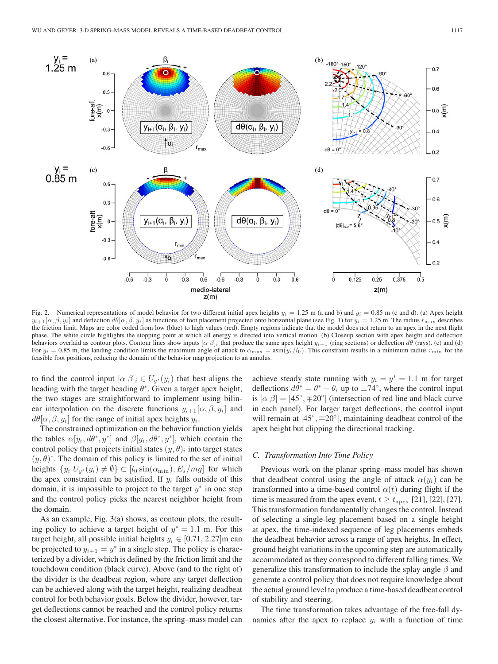

Fig. 2. Numerical representations of model behavior for two different initial apex heights  $y_i = 1.25$  m (a and b) and  $y_i = 0.85$  m (c and d). (a) Apex height  $y_{i+1} [\alpha, \beta, y_i]$  and deflection  $d\theta[\alpha, \beta, y_i]$  as functions of foot placement projected onto horizontal plane (see Fig. 1) for  $y_i = 1.25$  m. The radius  $r_{\text{max}}$  describes the friction limit. Maps are color coded from low (blue) to high values (red). Empty regions indicate that the model does not return to an apex in the next flight phase. The white circle highlights the stopping point at which all energy is directed into vertical motion. (b) Closeup section with apex height and deflection behaviors overlaid as contour plots. Contour lines show inputs  $\alpha \beta_i$  that produce the same apex height  $y_{i+1}$  (ring sections) or deflection de (rays). (c) and (d) For  $y_i = 0.85$  m, the landing condition limits the maximum angle of attack to  $\alpha_{\text{max}} = \frac{\text{asin}(y_i/l_0)}{\text{min}}$ . This constraint results in a minimum radius  $r_{\text{min}}$  for the feasible foot positions, reducing the domain of the behavior map projection to an annulus.

to find the control input  $[\alpha \beta]_i \in U_{y^*}(y_i)$  that best aligns the heading with the target heading  $\theta^*$ . Given a target apex height, the two stages are straightforward to implement using bilinear interpolation on the discrete functions  $y_{i+1}[\alpha, \beta, y_i]$  and  $d\theta[\alpha,\beta,y_i]$  for the range of initial apex heights  $y_i$ .

The constrained optimization on the behavior function yields the tables  $\alpha[y_i, d\theta^*, y^*]$  and  $\beta[y_i, d\theta^*, y^*]$ , which contain the control policy that projects initial states  $(y, \theta)_i$  into target states  $(y, \theta)^*$ . The domain of this policy is limited to the set of initial heights  $\{y_i|U_{y^*}(y_i) \neq \emptyset\} \subset [l_0 \sin(\alpha_{\min}), E_s/mg]$  for which the apex constraint can be satisfied. If  $y_i$  falls outside of this domain, it is impossible to project to the target  $y^*$  in one step and the control policy picks the nearest neighbor height from the domain.

As an example, Fig. 3(a) shows, as contour plots, the resulting policy to achieve a target height of  $y^* = 1.1$  m. For this target height, all possible initial heights  $y_i \in [0.71, 2.27]$ m can be projected to  $y_{i+1} = y^*$  in a single step. The policy is characterized by a divider, which is defined by the friction limit and the touchdown condition (black curve). Above (and to the right of) the divider is the deadbeat region, where any target deflection can be achieved along with the target height, realizing deadbeat control for both behavior goals. Below the divider, however, target deflections cannot be reached and the control policy returns the closest alternative. For instance, the spring–mass model can achieve steady state running with  $y_i = y^* = 1.1$  m for target deflections  $d\theta^* = \theta^* - \theta_i$  up to  $\pm 74^\circ$ , where the control input is  $[\alpha \beta] = [45^\circ, \pm 20^\circ]$  (intersection of red line and black curve in each panel). For larger target deflections, the control input will remain at  $[45^\circ, \pm 20^\circ]$ , maintaining deadbeat control of the apex height but clipping the directional tracking.

# *C. Transformation Into Time Policy*

Previous work on the planar spring–mass model has shown that deadbeat control using the angle of attack  $\alpha(y_i)$  can be transformed into a time-based control  $\alpha(t)$  during flight if the time is measured from the apex event,  $t \ge t_{\text{apex}}$  [21], [22], [27]. This transformation fundamentally changes the control. Instead of selecting a single-leg placement based on a single height at apex, the time-indexed sequence of leg placements embeds the deadbeat behavior across a range of apex heights. In effect, ground height variations in the upcoming step are automatically accommodated as they correspond to different falling times. We generalize this transformation to include the splay angle  $\beta$  and generate a control policy that does not require knowledge about the actual ground level to produce a time-based deadbeat control of stability and steering.

The time transformation takes advantage of the free-fall dynamics after the apex to replace  $y_i$  with a function of time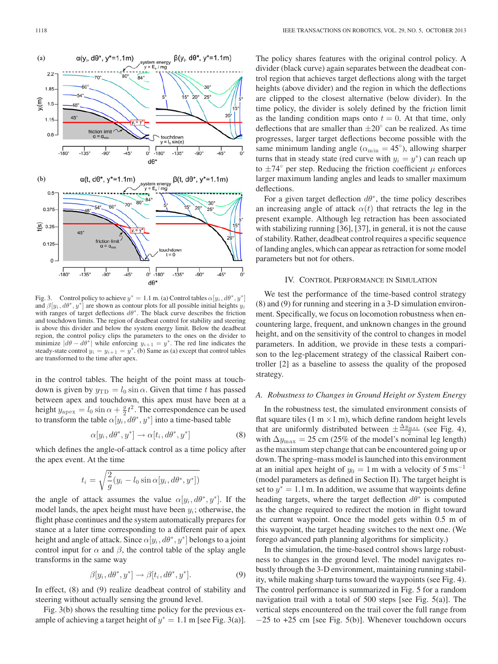

Fig. 3. Control policy to achieve  $y^* = 1.1$  m. (a) Control tables  $\alpha[y_i, d\theta^*, y^*]$ and  $\beta[y_i, d\theta^*, y^*]$  are shown as contour plots for all possible initial heights  $y_i$ with ranges of target deflections  $d\theta^*$ . The black curve describes the friction and touchdown limits. The region of deadbeat control for stability and steering is above this divider and below the system energy limit. Below the deadbeat region, the control policy clips the parameters to the ones on the divider to minimize  $|d\theta - d\theta^*|$  while enforcing  $y_{i+1} = y^*$ . The red line indicates the steady-state control  $y_i = y_{i+1} = y^*$ . (b) Same as (a) except that control tables are transformed to the time after apex.

in the control tables. The height of the point mass at touchdown is given by  $y_{\text{TD}} = l_0 \sin \alpha$ . Given that time t has passed between apex and touchdown, this apex must have been at a height  $y_{\text{apex}} = l_0 \sin \alpha + \frac{g}{2} t^2$ . The correspondence can be used to transform the table  $\alpha[y_i, d\theta^*, y^*]$  into a time-based table

$$
\alpha[y_i, d\theta^*, y^*] \to \alpha[t_i, d\theta^*, y^*]
$$
\n(8)

which defines the angle-of-attack control as a time policy after the apex event. At the time

$$
t_i = \sqrt{\frac{2}{g}(y_i - l_0 \sin \alpha[y_i, d\theta^*, y^*])}
$$

the angle of attack assumes the value  $\alpha[y_i, d\theta^*, y^*]$ . If the model lands, the apex height must have been  $y_i$ ; otherwise, the flight phase continues and the system automatically prepares for stance at a later time corresponding to a different pair of apex height and angle of attack. Since  $\alpha[y_i, d\theta^*, y^*]$  belongs to a joint control input for  $\alpha$  and  $\beta$ , the control table of the splay angle transforms in the same way

$$
\beta[y_i, d\theta^*, y^*] \to \beta[t_i, d\theta^*, y^*]. \tag{9}
$$

In effect, (8) and (9) realize deadbeat control of stability and steering without actually sensing the ground level.

Fig. 3(b) shows the resulting time policy for the previous example of achieving a target height of  $y^* = 1.1$  m [see Fig. 3(a)]. The policy shares features with the original control policy. A divider (black curve) again separates between the deadbeat control region that achieves target deflections along with the target heights (above divider) and the region in which the deflections are clipped to the closest alternative (below divider). In the time policy, the divider is solely defined by the friction limit as the landing condition maps onto  $t = 0$ . At that time, only deflections that are smaller than  $\pm 20^\circ$  can be realized. As time progresses, larger target deflections become possible with the same minimum landing angle ( $\alpha_{\min} = 45^{\circ}$ ), allowing sharper turns that in steady state (red curve with  $y_i = y^*$ ) can reach up to  $\pm$ 74° per step. Reducing the friction coefficient  $\mu$  enforces larger maximum landing angles and leads to smaller maximum deflections.

For a given target deflection  $d\theta^*$ , the time policy describes an increasing angle of attack  $\alpha(t)$  that retracts the leg in the present example. Although leg retraction has been associated with stabilizing running [36], [37], in general, it is not the cause of stability. Rather, deadbeat control requires a specific sequence of landing angles, which can appear as retraction for some model parameters but not for others.

# IV. CONTROL PERFORMANCE IN SIMULATION

We test the performance of the time-based control strategy (8) and (9) for running and steering in a 3-D simulation environment. Specifically, we focus on locomotion robustness when encountering large, frequent, and unknown changes in the ground height, and on the sensitivity of the control to changes in model parameters. In addition, we provide in these tests a comparison to the leg-placement strategy of the classical Raibert controller [2] as a baseline to assess the quality of the proposed strategy.

#### *A. Robustness to Changes in Ground Height or System Energy*

In the robustness test, the simulated environment consists of flat square tiles (1 m  $\times$ 1 m), which define random height levels that are uniformly distributed between  $\pm \frac{\Delta y_{\text{max}}}{2}$  (see Fig. 4), with  $\Delta y_{\text{max}} = 25 \text{ cm}$  (25% of the model's nominal leg length) as the maximum step change that can be encountered going up or down. The spring–mass model is launched into this environment at an initial apex height of  $y_0 = 1$  m with a velocity of 5 ms<sup>-1</sup> (model parameters as defined in Section II). The target height is set to  $y^* = 1.1$  m. In addition, we assume that waypoints define heading targets, where the target deflection  $d\theta^*$  is computed as the change required to redirect the motion in flight toward the current waypoint. Once the model gets within 0.5 m of this waypoint, the target heading switches to the next one. (We forego advanced path planning algorithms for simplicity.)

In the simulation, the time-based control shows large robustness to changes in the ground level. The model navigates robustly through the 3-D environment, maintaining running stability, while making sharp turns toward the waypoints (see Fig. 4). The control performance is summarized in Fig. 5 for a random navigation trail with a total of 500 steps [see Fig. 5(a)]. The vertical steps encountered on the trail cover the full range from −25 to +25 cm [see Fig. 5(b)]. Whenever touchdown occurs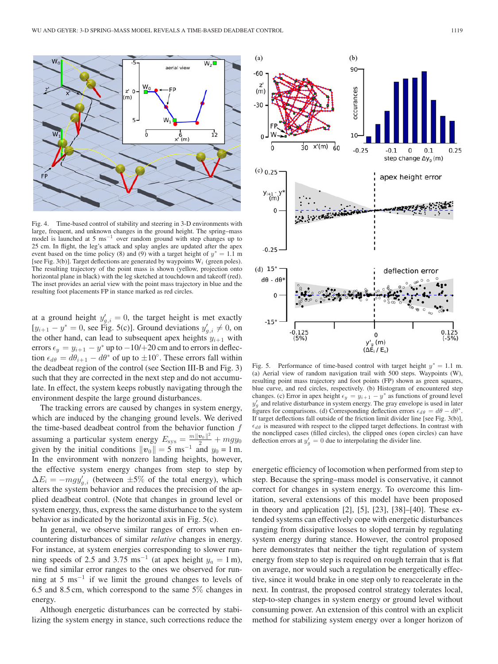

Fig. 4. Time-based control of stability and steering in 3-D environments with large, frequent, and unknown changes in the ground height. The spring–mass model is launched at 5 ms−<sup>1</sup> over random ground with step changes up to 25 cm. In flight, the leg's attack and splay angles are updated after the apex event based on the time policy (8) and (9) with a target height of  $y^* = 1.1$  m [see Fig. 3(b)]. Target deflections are generated by waypoints  $W_i$  (green poles). The resulting trajectory of the point mass is shown (yellow, projection onto horizontal plane in black) with the leg sketched at touchdown and takeoff (red). The inset provides an aerial view with the point mass trajectory in blue and the resulting foot placements FP in stance marked as red circles.

at a ground height  $y'_{g,i} = 0$ , the target height is met exactly  $[y_{i+1} - y^* = 0$ , see Fig. 5(c)]. Ground deviations  $y'_{g,i} \neq 0$ , on the other hand, can lead to subsequent apex heights  $y_{i+1}$  with errors  $\epsilon_y = y_{i+1} - y^*$  up to  $-10/+20$  cm and to errors in deflection  $\epsilon_{d\theta} = d\theta_{i+1} - d\theta^*$  of up to  $\pm 10^\circ$ . These errors fall within the deadbeat region of the control (see Section III-B and Fig. 3) such that they are corrected in the next step and do not accumulate. In effect, the system keeps robustly navigating through the environment despite the large ground disturbances.

The tracking errors are caused by changes in system energy, which are induced by the changing ground levels. We derived the time-based deadbeat control from the behavior function  $f$ assuming a particular system energy  $E_{sys} = \frac{m||\boldsymbol{v}_0||^2}{2} + mgy_0$ given by the initial conditions  $||v_0|| = 5$  ms<sup>-1</sup> and  $y_0 = 1$  m. In the environment with nonzero landing heights, however, the effective system energy changes from step to step by  $\Delta E_i = -mgy'_{g,i}$  (between  $\pm 5\%$  of the total energy), which alters the system behavior and reduces the precision of the applied deadbeat control. (Note that changes in ground level or system energy, thus, express the same disturbance to the system behavior as indicated by the horizontal axis in Fig. 5(c).

In general, we observe similar ranges of errors when encountering disturbances of similar *relative* changes in energy. For instance, at system energies corresponding to slower running speeds of 2.5 and 3.75 ms<sup>-1</sup> (at apex height  $y_a = 1$  m), we find similar error ranges to the ones we observed for running at 5 ms<sup> $-1$ </sup> if we limit the ground changes to levels of 6.5 and 8.5 cm, which correspond to the same 5% changes in energy.

Although energetic disturbances can be corrected by stabilizing the system energy in stance, such corrections reduce the



Fig. 5. Performance of time-based control with target height  $y^* = 1.1$  m. (a) Aerial view of random navigation trail with 500 steps. Waypoints (W), resulting point mass trajectory and foot points (FP) shown as green squares, blue curve, and red circles, respectively. (b) Histogram of encountered step changes. (c) Error in apex height  $\epsilon_y = y_{i+1} - y^*$  as functions of ground level  $y'_{g}$  and relative disturbance in system energy. The gray envelope is used in later figures for comparisons. (d) Corresponding deflection errors  $\epsilon_{d\theta} = d\theta - d\theta^*$ . If target deflections fall outside of the friction limit divider line [see Fig. 3(b)],  $\epsilon_{d\theta}$  is measured with respect to the clipped target deflections. In contrast with the nonclipped cases (filled circles), the clipped ones (open circles) can have deflection errors at  $y'_g = 0$  due to interpolating the divider line.

energetic efficiency of locomotion when performed from step to step. Because the spring–mass model is conservative, it cannot correct for changes in system energy. To overcome this limitation, several extensions of this model have been proposed in theory and application [2], [5], [23], [38]–[40]. These extended systems can effectively cope with energetic disturbances ranging from dissipative losses to sloped terrain by regulating system energy during stance. However, the control proposed here demonstrates that neither the tight regulation of system energy from step to step is required on rough terrain that is flat on average, nor would such a regulation be energetically effective, since it would brake in one step only to reaccelerate in the next. In contrast, the proposed control strategy tolerates local, step-to-step changes in system energy or ground level without consuming power. An extension of this control with an explicit method for stabilizing system energy over a longer horizon of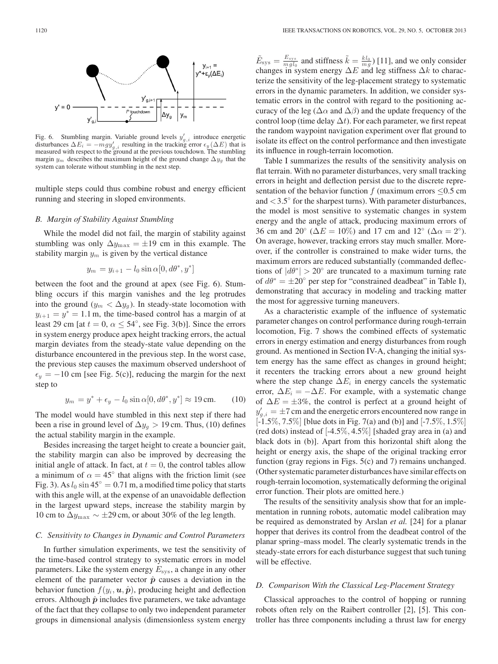

Fig. 6. Stumbling margin. Variable ground levels  $y'_{g,i}$  introduce energetic disturbances  $\Delta E_i = -mgy'_{g,i}$  resulting in the tracking error  $\epsilon_y(\Delta E)$  that is measured with respect to the ground at the previous touchdown. The stumbling margin  $y_m$  describes the maximum height of the ground change  $\Delta y_a$  that the system can tolerate without stumbling in the next step.

multiple steps could thus combine robust and energy efficient running and steering in sloped environments.

#### *B. Margin of Stability Against Stumbling*

While the model did not fail, the margin of stability against stumbling was only  $\Delta y_{\text{max}} = \pm 19$  cm in this example. The stability margin  $y_m$  is given by the vertical distance

$$
y_m = y_{i+1} - l_0 \sin \alpha [0, d\theta^*, y^*]
$$

between the foot and the ground at apex (see Fig. 6). Stumbling occurs if this margin vanishes and the leg protrudes into the ground  $(y_m < \Delta y_q)$ . In steady-state locomotion with  $y_{i+1} = y^* = 1.1$  m, the time-based control has a margin of at least 29 cm [at  $t = 0$ ,  $\alpha \le 54^{\circ}$ , see Fig. 3(b)]. Since the errors in system energy produce apex height tracking errors, the actual margin deviates from the steady-state value depending on the disturbance encountered in the previous step. In the worst case, the previous step causes the maximum observed undershoot of  $\epsilon_y = -10$  cm [see Fig. 5(c)], reducing the margin for the next step to

$$
y_m = y^* + \epsilon_y - l_0 \sin \alpha [0, d\theta^*, y^*] \approx 19 \,\text{cm.} \tag{10}
$$

The model would have stumbled in this next step if there had been a rise in ground level of  $\Delta y_q > 19$  cm. Thus, (10) defines the actual stability margin in the example.

Besides increasing the target height to create a bouncier gait, the stability margin can also be improved by decreasing the initial angle of attack. In fact, at  $t = 0$ , the control tables allow a minimum of  $\alpha = 45^\circ$  that aligns with the friction limit (see Fig. 3). As  $l_0 \sin 45^\circ = 0.71$  m, a modified time policy that starts with this angle will, at the expense of an unavoidable deflection in the largest upward steps, increase the stability margin by 10 cm to  $\Delta y_{\rm max} \sim \pm 29$  cm, or about 30% of the leg length.

# *C. Sensitivity to Changes in Dynamic and Control Parameters*

In further simulation experiments, we test the sensitivity of the time-based control strategy to systematic errors in model parameters. Like the system energy  $E_{sys}$ , a change in any other element of the parameter vector  $\hat{p}$  causes a deviation in the behavior function  $f(y_i, \boldsymbol{u}, \hat{\boldsymbol{p}})$ , producing height and deflection errors. Although  $\hat{p}$  includes five parameters, we take advantage of the fact that they collapse to only two independent parameter groups in dimensional analysis (dimensionless system energy

 $\tilde{E}_{sys} = \frac{E_{sys}}{mgl_0}$  and stiffness  $\tilde{k} = \frac{kl_0}{mg}$  [11], and we only consider changes in system energy  $\Delta E$  and leg stiffness  $\Delta k$  to characterize the sensitivity of the leg-placement strategy to systematic errors in the dynamic parameters. In addition, we consider systematic errors in the control with regard to the positioning accuracy of the leg ( $\Delta \alpha$  and  $\Delta \beta$ ) and the update frequency of the control loop (time delay  $\Delta t$ ). For each parameter, we first repeat the random waypoint navigation experiment over flat ground to isolate its effect on the control performance and then investigate its influence in rough-terrain locomotion.

Table I summarizes the results of the sensitivity analysis on flat terrain. With no parameter disturbances, very small tracking errors in height and deflection persist due to the discrete representation of the behavior function f (maximum errors  $\leq 0.5$  cm and  $<$  3.5 $\degree$  for the sharpest turns). With parameter disturbances, the model is most sensitive to systematic changes in system energy and the angle of attack, producing maximum errors of 36 cm and 20° ( $\Delta E = 10\%$ ) and 17 cm and 12° ( $\Delta \alpha = 2$ °). On average, however, tracking errors stay much smaller. Moreover, if the controller is constrained to make wider turns, the maximum errors are reduced substantially (commanded deflections of  $|d\theta^*| > 20^\circ$  are truncated to a maximum turning rate of  $d\theta^* = \pm 20^\circ$  per step for "constrained deadbeat" in Table I), demonstrating that accuracy in modeling and tracking matter the most for aggressive turning maneuvers.

As a characteristic example of the influence of systematic parameter changes on control performance during rough-terrain locomotion, Fig. 7 shows the combined effects of systematic errors in energy estimation and energy disturbances from rough ground. As mentioned in Section IV-A, changing the initial system energy has the same effect as changes in ground height; it recenters the tracking errors about a new ground height where the step change  $\Delta E_i$  in energy cancels the systematic error,  $\Delta E_i = -\Delta E$ . For example, with a systematic change of  $\Delta E = \pm 3\%$ , the control is perfect at a ground height of  $y'_{g,i} = \pm 7$  cm and the energetic errors encountered now range in  $[-1.5\%, 7.5\%]$  [blue dots in Fig. 7(a) and (b)] and  $[-7.5\%, 1.5\%]$ (red dots) instead of  $[-4.5\%, 4.5\%]$  [shaded gray area in (a) and black dots in (b)]. Apart from this horizontal shift along the height or energy axis, the shape of the original tracking error function (gray regions in Figs. 5(c) and 7) remains unchanged. (Other systematic parameter disturbances have similar effects on rough-terrain locomotion, systematically deforming the original error function. Their plots are omitted here.)

The results of the sensitivity analysis show that for an implementation in running robots, automatic model calibration may be required as demonstrated by Arslan *et al.* [24] for a planar hopper that derives its control from the deadbeat control of the planar spring–mass model. The clearly systematic trends in the steady-state errors for each disturbance suggest that such tuning will be effective.

## *D. Comparison With the Classical Leg-Placement Strategy*

Classical approaches to the control of hopping or running robots often rely on the Raibert controller [2], [5]. This controller has three components including a thrust law for energy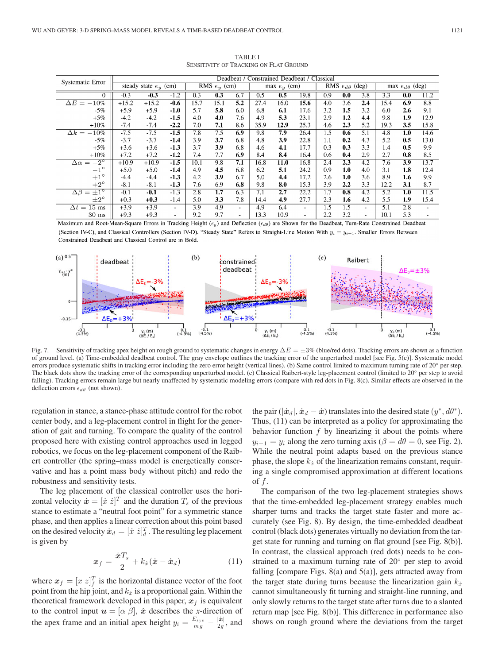| <b>Systematic Error</b>                       | Deadbeat /<br>Constrained Deadbeat / Classical |         |        |                       |      |                |                       |      |      |                                                  |         |     |                                |     |      |
|-----------------------------------------------|------------------------------------------------|---------|--------|-----------------------|------|----------------|-----------------------|------|------|--------------------------------------------------|---------|-----|--------------------------------|-----|------|
|                                               | steady state $\epsilon_y$ (cm)                 |         |        | RMS $\epsilon_y$ (cm) |      |                | max $\epsilon_y$ (cm) |      |      | $\overline{\text{RMS}} \epsilon_{d\theta}$ (deg) |         |     | max $\epsilon_{d\theta}$ (deg) |     |      |
| 0                                             | $-0.3$                                         | $-0.3$  | $-1.2$ | 0.3                   | 0.3  | 6.7            | 0.5                   | 0.5  | 19.8 | 0.9                                              | 0.0     | 3.8 | 3.3                            | 0.0 | 11.2 |
| $-10%$<br>$\Delta E =$                        | $+15.2$                                        | $+15.2$ | $-0.6$ | 15.7                  | 15.1 | 5.2            | 27.4                  | 16.0 | 15.6 | 4.0                                              | 3.6     | 2.4 | 15.4                           | 6.9 | 8.8  |
| $-5%$                                         | $+5.9$                                         | $+5.9$  | $-1.0$ | 5.7                   | 5.8  | 6.0            | 6.8                   | 6.1  | 17.6 | 3.2                                              | 1.5     | 3.2 | 6.0                            | 2.6 | 9.1  |
| $+5%$                                         | $-4.2$                                         | $-4.2$  | $-1.5$ | 4.0                   | 4.0  | 7.6            | 4.9                   | 5.3  | 23.1 | 2.9                                              | $1.2\,$ | 4.4 | 9.8                            | 1.9 | 12.9 |
| $+10%$                                        | -7.4                                           | $-7.4$  | $-2.2$ | 7.0                   | 7.1  | 8.6            | 35.9                  | 12.9 | 25.3 | 4.6                                              | 2.3     | 5.2 | 19.3                           | 3.5 | 15.8 |
| $-10%$<br>$\Delta k =$                        | $-7.5$                                         | $-7.5$  | $-1.5$ | 7.8                   | 7.5  | 6.9            | 9.8                   | 7.9  | 26.4 | 1.5                                              | 0.6     | 5.1 | 4.8                            | 1.0 | 14.6 |
| $-5%$                                         | $-3.7$                                         | $-3.7$  | $-1.4$ | 3.9                   | 3.7  | 6.8            | 4.8                   | 3.9  | 22.8 | 1.1                                              | 0.2     | 4.3 | 5.2                            | 0.5 | 13.0 |
| $+5%$                                         | $+3.6$                                         | $+3.6$  | $-1.3$ | 3.7                   | 3.9  | 6.8            | 4.6                   | 4.1  | 17.7 | 0.3                                              | 0.3     | 3.3 | 1.4                            | 0.5 | 9.9  |
| $+10%$                                        | $+7.2$                                         | $+7.2$  | $-1.2$ | 7.4                   | 7.7  | 6.9            | 8.4                   | 8.4  | 16.4 | 0.6                                              | 0.4     | 2.9 | 2.7                            | 0.8 | 8.5  |
| $\overline{-2^{\circ}}$<br>$\Delta \alpha =$  | $+10.9$                                        | $+10.9$ | $-1.5$ | 10.1                  | 9.8  | 7.1            | 16.8                  | 11.0 | 16.8 | 2.4                                              | 2.3     | 4.2 | 7.6                            | 3.9 | 13.7 |
| $-1^{\circ}$                                  | $+5.0$                                         | $+5.0$  | $-1.4$ | 4.9                   | 4.5  | 6.8            | 6.2                   | 5.1  | 24.2 | 0.9                                              | 1.0     | 4.0 | 3.1                            | 1.8 | 12.4 |
| $+1^{\circ}$                                  | -4.4                                           | $-4,4$  | $-1.3$ | 4.2                   | 3.9  | 6.7            | 5.0                   | 4.4  | 17.2 | 2.6                                              | 1.0     | 3.6 | 8.9                            | 1.6 | 9.9  |
| $+2^{\circ}$                                  | $-8.1$                                         | $-8.1$  | $-1.3$ | 7.6                   | 6.9  | 6.8            | 9.8                   | 8.0  | 15.3 | 3.9                                              | 2.2     | 3.3 | 12.2                           | 3.1 | 8.7  |
| $\pm 1^{\circ}$<br>$\Delta \beta$<br>$\equiv$ | $-0.1$                                         | $-0.1$  | $-1.3$ | 2.8                   | 1.7  | 6.3            | $7\overline{.1}$      | 2.7  | 22.2 | 1.7                                              | 0.8     | 4.2 | 5.2                            | 1.0 | 11.5 |
| $\pm 2^{\circ}$                               | $+0.3$                                         | $+0.3$  | $-1.4$ | 5.0                   | 3.3  | 7.8            | 14.4                  | 4.9  | 27.7 | 2.3                                              | 1.6     | 4.2 | 5.5                            | 1.9 | 15.4 |
| $\Delta t = 15$ ms                            | $+3.9$                                         | $+3.9$  | ۰      | 3.9                   | 4.9  | $\blacksquare$ | 4.9                   | 6.4  | ٠    | 1.5                                              | 1.5     | ٠   | 5.1                            | 2.8 | ۰    |
| 30 ms                                         | $+9.3$                                         | $+9.3$  |        | 9.2                   | 9.7  | ٠              | 13.3                  | 10.9 | ۰    | 2.2                                              | 3.2     | ۰   | 10.1                           | 5.3 |      |

TABLE I SENSITIVITY OF TRACKING ON FLAT GROUND

Maximum and Root-Mean-Square Errors in Tracking Height ( $\epsilon_y$ ) and Deflection ( $\epsilon_{d\theta}$ ) are Shown for the Deadbeat, Turn-Rate Constrained Deadbeat (Section IV-C), and Classical Controllers (Section IV-D). "Steady State" Refers to Straight-Line Motion With  $y_i = y_{i+1}$ . Smaller Errors Between Constrained Deadbeat and Classical Control are in Bold.



Fig. 7. Sensitivity of tracking apex height on rough ground to systematic changes in energy  $\Delta E = \pm 3\%$  (blue/red dots). Tracking errors are shown as a function of ground level. (a) Time-embedded deadbeat control. The gray envelope outlines the tracking error of the unperturbed model [see Fig. 5(c)]. Systematic model errors produce systematic shifts in tracking error including the zero error height (vertical lines). (b) Same control limited to maximum turning rate of 20° per step. The black dots show the tracking error of the corresponding unperturbed model. (c) Classical Raibert-style leg-placement control (limited to 20° per step to avoid falling). Tracking errors remain large but nearly unaffected by systematic modeling errors (compare with red dots in Fig. 8(c). Similar effects are observed in the deflection errors  $\epsilon_{d\theta}$  (not shown).

regulation in stance, a stance-phase attitude control for the robot center body, and a leg-placement control in flight for the generation of gait and turning. To compare the quality of the control proposed here with existing control approaches used in legged robotics, we focus on the leg-placement component of the Raibert controller (the spring–mass model is energetically conservative and has a point mass body without pitch) and redo the robustness and sensitivity tests.

The leg placement of the classical controller uses the horizontal velocity  $\dot{x} = [\dot{x} \dot{z}]^T$  and the duration  $T_s$  of the previous stance to estimate a "neutral foot point" for a symmetric stance phase, and then applies a linear correction about this point based on the desired velocity  $\dot{\bm{x}}_d = [\dot{x} \ \dot{z}]_d^T$ . The resulting leg placement is given by

$$
\boldsymbol{x}_f = \frac{\dot{\boldsymbol{x}}T_s}{2} + k_{\dot{x}}(\dot{\boldsymbol{x}} - \dot{\boldsymbol{x}}_d)
$$
 (11)

where  $x_f = [x \; z]_f^T$  is the horizontal distance vector of the foot point from the hip joint, and  $k_{\dot{x}}$  is a proportional gain. Within the theoretical framework developed in this paper,  $x_f$  is equivalent to the control input  $u = [\alpha \beta]$ ,  $\dot{x}$  describes the *x*-direction of the apex frame and an initial apex height  $y_i = \frac{E_{sys}}{mg} - \frac{|\dot{x}|}{2g}$ , and

the pair  $(|\dot{x}_d|, \dot{x}_d - \dot{x})$  translates into the desired state  $(y^*, d\theta^*)$ . Thus, (11) can be interpreted as a policy for approximating the behavior function  $f$  by linearizing it about the points where  $y_{i+1} = y_i$  along the zero turning axis ( $\beta = d\theta = 0$ , see Fig. 2). While the neutral point adapts based on the previous stance phase, the slope  $k_x$  of the linearization remains constant, requiring a single compromised approximation at different locations of  $f$ .

The comparison of the two leg-placement strategies shows that the time-embedded leg-placement strategy enables much sharper turns and tracks the target state faster and more accurately (see Fig. 8). By design, the time-embedded deadbeat control (black dots) generates virtually no deviation from the target state for running and turning on flat ground [see Fig. 8(b)]. In contrast, the classical approach (red dots) needs to be constrained to a maximum turning rate of 20◦ per step to avoid falling [compare Figs.  $8(a)$  and  $5(a)$ ], gets attracted away from the target state during turns because the linearization gain  $k_{\dot{x}}$ cannot simultaneously fit turning and straight-line running, and only slowly returns to the target state after turns due to a slanted return map [see Fig. 8(b)]. This difference in performance also shows on rough ground where the deviations from the target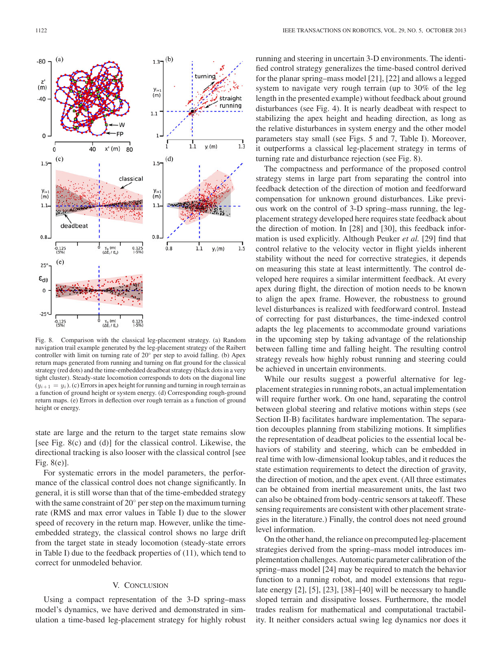$-80$ 

 $(m)$ 

 $-40$ 

 $\Omega$ 

 $1.5$ 

 $\overline{0}$ 

 $(c)$ 

 $(a)$ 





 $x'$  (m)

80

 $(d)$  $1.5 -$ 

 $40$ 

Fig. 8. Comparison with the classical leg-placement strategy. (a) Random navigation trail example generated by the leg-placement strategy of the Raibert controller with limit on turning rate of 20◦ per step to avoid falling. (b) Apex return maps generated from running and turning on flat ground for the classical strategy (red dots) and the time-embedded deadbeat strategy (black dots in a very tight cluster). Steady-state locomotion corresponds to dots on the diagonal line  $(y_{i+1} = y_i)$ . (c) Errors in apex height for running and turning in rough terrain as a function of ground height or system energy. (d) Corresponding rough-ground return maps. (e) Errors in deflection over rough terrain as a function of ground height or energy.

state are large and the return to the target state remains slow [see Fig. 8(c) and (d)] for the classical control. Likewise, the directional tracking is also looser with the classical control [see Fig. 8(e)].

For systematic errors in the model parameters, the performance of the classical control does not change significantly. In general, it is still worse than that of the time-embedded strategy with the same constraint of 20◦ per step on the maximum turning rate (RMS and max error values in Table I) due to the slower speed of recovery in the return map. However, unlike the timeembedded strategy, the classical control shows no large drift from the target state in steady locomotion (steady-state errors in Table I) due to the feedback properties of (11), which tend to correct for unmodeled behavior.

# V. CONCLUSION

Using a compact representation of the 3-D spring–mass model's dynamics, we have derived and demonstrated in simulation a time-based leg-placement strategy for highly robust running and steering in uncertain 3-D environments. The identified control strategy generalizes the time-based control derived for the planar spring–mass model [21], [22] and allows a legged system to navigate very rough terrain (up to 30% of the leg length in the presented example) without feedback about ground disturbances (see Fig. 4). It is nearly deadbeat with respect to stabilizing the apex height and heading direction, as long as the relative disturbances in system energy and the other model parameters stay small (see Figs. 5 and 7, Table I). Moreover, it outperforms a classical leg-placement strategy in terms of turning rate and disturbance rejection (see Fig. 8).

The compactness and performance of the proposed control strategy stems in large part from separating the control into feedback detection of the direction of motion and feedforward compensation for unknown ground disturbances. Like previous work on the control of 3-D spring–mass running, the legplacement strategy developed here requires state feedback about the direction of motion. In [28] and [30], this feedback information is used explicitly. Although Peuker *et al.* [29] find that control relative to the velocity vector in flight yields inherent stability without the need for corrective strategies, it depends on measuring this state at least intermittently. The control developed here requires a similar intermittent feedback. At every apex during flight, the direction of motion needs to be known to align the apex frame. However, the robustness to ground level disturbances is realized with feedforward control. Instead of correcting for past disturbances, the time-indexed control adapts the leg placements to accommodate ground variations in the upcoming step by taking advantage of the relationship between falling time and falling height. The resulting control strategy reveals how highly robust running and steering could be achieved in uncertain environments.

While our results suggest a powerful alternative for legplacement strategies in running robots, an actual implementation will require further work. On one hand, separating the control between global steering and relative motions within steps (see Section II-B) facilitates hardware implementation. The separation decouples planning from stabilizing motions. It simplifies the representation of deadbeat policies to the essential local behaviors of stability and steering, which can be embedded in real time with low-dimensional lookup tables, and it reduces the state estimation requirements to detect the direction of gravity, the direction of motion, and the apex event. (All three estimates can be obtained from inertial measurement units, the last two can also be obtained from body-centric sensors at takeoff. These sensing requirements are consistent with other placement strategies in the literature.) Finally, the control does not need ground level information.

On the other hand, the reliance on precomputed leg-placement strategies derived from the spring–mass model introduces implementation challenges. Automatic parameter calibration of the spring–mass model [24] may be required to match the behavior function to a running robot, and model extensions that regulate energy [2], [5], [23], [38]–[40] will be necessary to handle sloped terrain and dissipative losses. Furthermore, the model trades realism for mathematical and computational tractability. It neither considers actual swing leg dynamics nor does it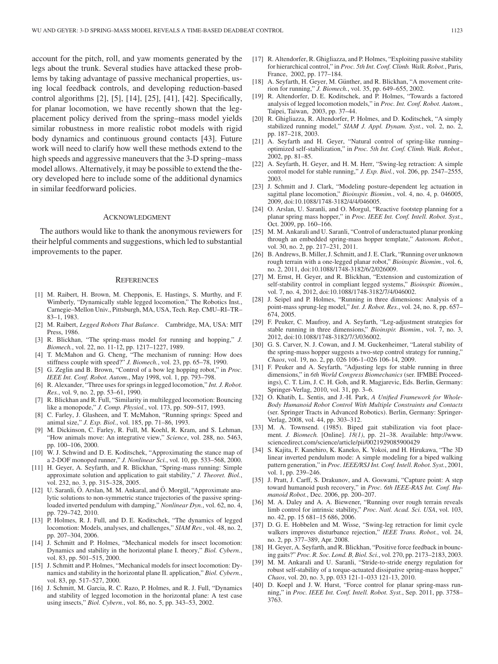account for the pitch, roll, and yaw moments generated by the legs about the trunk. Several studies have attacked these problems by taking advantage of passive mechanical properties, using local feedback controls, and developing reduction-based control algorithms [2], [5], [14], [25], [41], [42]. Specifically, for planar locomotion, we have recently shown that the legplacement policy derived from the spring–mass model yields similar robustness in more realistic robot models with rigid body dynamics and continuous ground contacts [43]. Future work will need to clarify how well these methods extend to the high speeds and aggressive maneuvers that the 3-D spring–mass model allows. Alternatively, it may be possible to extend the theory developed here to include some of the additional dynamics in similar feedforward policies.

#### ACKNOWLEDGMENT

The authors would like to thank the anonymous reviewers for their helpful comments and suggestions, which led to substantial improvements to the paper.

#### **REFERENCES**

- [1] M. Raibert, H. Brown, M. Chepponis, E. Hastings, S. Murthy, and F. Wimberly, "Dynamically stable legged locomotion," The Robotics Inst., Carnegie–Mellon Univ., Pittsburgh, MA, USA, Tech. Rep. CMU–RI–TR– 83–1, 1983.
- [2] M. Raibert, *Legged Robots That Balance*. Cambridge, MA, USA: MIT Press, 1986.
- [3] R. Blickhan, "The spring-mass model for running and hopping," *J. Biomech.*, vol. 22, no. 11-12, pp. 1217–1227, 1989.
- [4] T. McMahon and G. Cheng, "The mechanism of running: How does stiffness couple with speed?" *J. Biomech.*, vol. 23, pp. 65–78, 1990.
- [5] G. Zeglin and B. Brown, "Control of a bow leg hopping robot," in *Proc. IEEE Int. Conf. Robot. Autom.*, May 1998, vol. 1, pp. 793–798.
- [6] R. Alexander, "Three uses for springs in legged locomotion," *Int. J. Robot. Res.*, vol. 9, no. 2, pp. 53–61, 1990.
- [7] R. Blickhan and R. Full, "Similarity in multilegged locomotion: Bouncing like a monopode," *J. Comp. Physiol.*, vol. 173, pp. 509–517, 1993.
- [8] C. Farley, J. Glasheen, and T. McMahon, "Running springs: Speed and animal size," *J. Exp. Biol.*, vol. 185, pp. 71–86, 1993.
- [9] M. Dickinson, C. Farley, R. Full, M. Koehl, R. Kram, and S. Lehman, "How animals move: An integrative view," *Science*, vol. 288, no. 5463, pp. 100–106, 2000.
- [10] W. J. Schwind and D. E. Koditschek, "Approximating the stance map of a 2-DOF monoped runner," *J. Nonlinear Sci.*, vol. 10, pp. 533–568, 2000.
- [11] H. Geyer, A. Seyfarth, and R. Blickhan, "Spring-mass running: Simple approximate solution and application to gait stability," *J. Theoret. Biol.*, vol. 232, no. 3, pp. 315–328, 2005.
- [12] U. Saranli, Ö. Arslan, M. M. Ankaral, and Ö. Morgül, "Approximate analytic solutions to non-symmetric stance trajectories of the passive springloaded inverted pendulum with damping," *Nonlinear Dyn.*, vol. 62, no. 4, pp. 729–742, 2010.
- [13] P. Holmes, R. J. Full, and D. E. Koditschek, "The dynamics of legged locomotion: Models, analyses, and challenges," *SIAM Rev.*, vol. 48, no. 2, pp. 207–304, 2006.
- [14] J. Schmitt and P. Holmes, "Mechanical models for insect locomotion: Dynamics and stability in the horizontal plane I. theory," *Biol. Cybern.*, vol. 83, pp. 501–515, 2000.
- [15] J. Schmitt and P. Holmes, "Mechanical models for insect locomotion: Dynamics and stability in the horizontal plane II. application," *Biol. Cybern.*, vol. 83, pp. 517–527, 2000.
- [16] J. Schmitt, M. Garcia, R. C. Razo, P. Holmes, and R. J. Full, "Dynamics and stability of legged locomotion in the horizontal plane: A test case using insects," *Biol. Cybern.*, vol. 86, no. 5, pp. 343–53, 2002.
- [17] R. Altendorfer, R. Ghigliazza, and P. Holmes, "Exploiting passive stability for hierarchical control," in *Proc. 5th Int. Conf. Climb. Walk. Robot.*, Paris, France, 2002, pp. 177–184.
- [18] A. Seyfarth, H. Geyer, M. Günther, and R. Blickhan, "A movement criterion for running," *J. Biomech.*, vol. 35, pp. 649–655, 2002.
- [19] R. Altendorfer, D. E. Koditschek, and P. Holmes, "Towards a factored analysis of legged locomotion models," in *Proc. Int. Conf. Robot. Autom.*, Taipei, Taiwan, 2003, pp. 37–44.
- [20] R. Ghigliazza, R. Altendorfer, P. Holmes, and D. Koditschek, "A simply stabilized running model," *SIAM J. Appl. Dynam. Syst.*, vol. 2, no. 2, pp. 187–218, 2003.
- [21] A. Seyfarth and H. Geyer, "Natural control of spring-like running– optimized self-stabilization," in *Proc. 5th Int. Conf. Climb. Walk. Robot.*, 2002, pp. 81–85.
- [22] A. Seyfarth, H. Geyer, and H. M. Herr, "Swing-leg retraction: A simple control model for stable running," *J. Exp. Biol.*, vol. 206, pp. 2547–2555, 2003.
- [23] J. Schmitt and J. Clark, "Modeling posture-dependent leg actuation in sagittal plane locomotion," *Bioinspir. Biomim.*, vol. 4, no. 4, p. 046005, 2009, doi:10.1088/1748-3182/4/4/046005.
- [24] O. Arslan, U. Saranli, and O. Morgul, "Reactive footstep planning for a planar spring mass hopper," in *Proc. IEEE Int. Conf. Intell. Robot. Syst.*, Oct. 2009, pp. 160–166.
- [25] M. M. Ankarali and U. Saranli, "Control of underactuated planar pronking through an embedded spring-mass hopper template," *Autonom. Robot.*, vol. 30, no. 2, pp. 217–231, 2011.
- [26] B. Andrews, B. Miller, J. Schmitt, and J. E. Clark, "Running over unknown rough terrain with a one-legged planar robot," *Bioinspir. Biomim.*, vol. 6, no. 2, 2011, doi:10.1088/1748-3182/6/2/026009.
- [27] M. Ernst, H. Geyer, and R. Blickhan, "Extension and customization of self-stability control in compliant legged systems," *Bioinspir. Biomim.*, vol. 7, no. 4, 2012, doi:10.1088/1748-3182/7/4/046002.
- [28] J. Seipel and P. Holmes, "Running in three dimensions: Analysis of a point-mass sprung-leg model," *Int. J. Robot. Res.*, vol. 24, no. 8, pp. 657– 674, 2005.
- [29] F. Peuker, C. Maufroy, and A. Seyfarth, "Leg-adjustment strategies for stable running in three dimensions," *Bioinspir. Biomim.*, vol. 7, no. 3, 2012, doi:10.1088/1748-3182/7/3/036002.
- [30] G. S. Carver, N. J. Cowan, and J. M. Guckenheimer, "Lateral stability of the spring-mass hopper suggests a two-step control strategy for running," *Chaos*, vol. 19, no. 2, pp. 026 106-1–026 106-14, 2009.
- [31] F. Peuker and A. Seyfarth, "Adjusting legs for stable running in three dimensions," in *6th World Congress Biomechanics* (ser. IFMBE Proceedings), C. T. Lim, J. C. H. Goh, and R. Magjarevic, Eds. Berlin, Germany: Springer-Verlag, 2010, vol. 31, pp. 3–6.
- [32] O. Khatib, L. Sentis, and J.-H. Park, *A Unified Framework for Whole-Body Humanoid Robot Control With Multiple Constraints and Contacts* (ser. Springer Tracts in Advanced Robotics). Berlin, Germany: Springer-Verlag, 2008, vol. 44, pp. 303–312.
- [33] M. A. Townsend. (1985). Biped gait stabilization via foot placement. *J. Biomech.* [Online]. *18(1)*, pp. 21–38. Available: http://www. sciencedirect.com/science/article/pii/0021929085900429
- [34] S. Kajita, F. Kanehiro, K. Kaneko, K. Yokoi, and H. Hirukawa, "The 3D linear inverted pendulum mode: A simple modeling for a biped walking pattern generation," in *Proc. IEEE/RSJ Int. Conf. Intell. Robot. Syst.*, 2001, vol. 1, pp. 239–246.
- [35] J. Pratt, J. Carff, S. Drakunov, and A. Goswami, "Capture point: A step toward humanoid push recovery," in *Proc. 6th IEEE-RAS Int. Conf. Humanoid Robot.*, Dec. 2006, pp. 200–207.
- [36] M. A. Daley and A. A. Biewener, "Running over rough terrain reveals limb control for intrinsic stability," *Proc. Natl. Acad. Sci. USA*, vol. 103, no. 42, pp. 15 681–15 686, 2006.
- [37] D. G. E. Hobbelen and M. Wisse, "Swing-leg retraction for limit cycle walkers improves disturbance rejection," *IEEE Trans. Robot.*, vol. 24, no. 2, pp. 377–389, Apr. 2008.
- [38] H. Geyer, A. Seyfarth, and R. Blickhan, "Positive force feedback in bouncing gaits?" *Proc. R. Soc. Lond. B, Biol. Sci.*, vol. 270, pp. 2173–2183, 2003.
- [39] M. M. Ankarali and U. Saranli, "Stride-to-stride energy regulation for robust self-stability of a torque-actuated dissipative spring-mass hopper," *Chaos*, vol. 20, no. 3, pp. 033 121-1–033 121-13, 2010.
- [40] D. Koepl and J. W. Hurst, "Force control for planar spring-mass running," in *Proc. IEEE Int. Conf. Intell. Robot. Syst.*, Sep. 2011, pp. 3758– 3763.